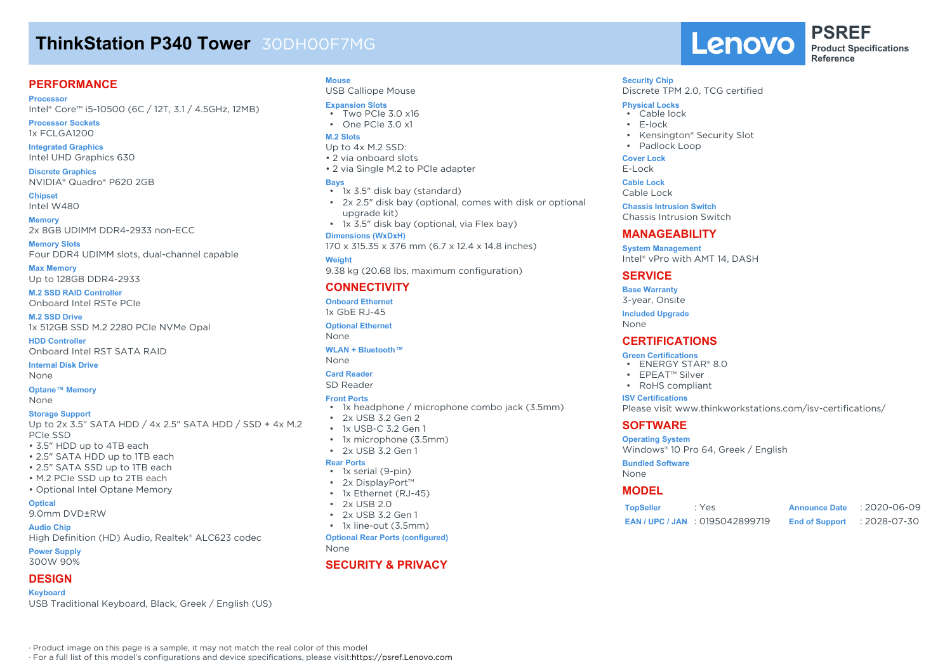# **ThinkStation P340 Tower** 30DH00F7MG

#### **PERFORMANCE**

**Processor**

Intel® Core™ i5-10500 (6C / 12T, 3.1 / 4.5GHz, 12MB)

**Processor Sockets** 1x FCLGA1200

**Integrated Graphics** Intel UHD Graphics 630

**Discrete Graphics** NVIDIA® Quadro® P620 2GB

**Chipset** Intel W480

**Memory** 2x 8GB UDIMM DDR4-2933 non-ECC

**Memory Slots** Four DDR4 UDIMM slots, dual-channel capable

**Max Memory** Up to 128GB DDR4-2933

**M.2 SSD RAID Controller** Onboard Intel RSTe PCIe

**M.2 SSD Drive** 1x 512GB SSD M.2 2280 PCIe NVMe Opal

**HDD Controller** Onboard Intel RST SATA RAID

**Internal Disk Drive** None

**Optane™ Memory**

None

#### **Storage Support**

Up to 2x 3.5" SATA HDD / 4x 2.5" SATA HDD / SSD + 4x M.2 PCIe SSD

- 3.5" HDD up to 4TB each
- 2.5" SATA HDD up to 1TB each
- 2.5" SATA SSD up to 1TB each
- M.2 PCIe SSD up to 2TB each
- Optional Intel Optane Memory

**Optical**

9.0mm DVD±RW

#### **Audio Chip**

High Definition (HD) Audio, Realtek® ALC623 codec

**Power Supply**

300W 90%

### **DESIGN**

**Keyboard**

USB Traditional Keyboard, Black, Greek / English (US)

· Product image on this page is a sample, it may not match the real color of this model

· For a full list of this model's configurations and device specifications, please visit:https://psref.Lenovo.com

### **Mouse**

USB Calliope Mouse

#### **Expansion Slots**

• Two PCIe 3.0 x16 • One PCIe 3.0 x1

# **M.2 Slots**

- Up to 4x M.2 SSD: • 2 via onboard slots
- 2 via Single M.2 to PCIe adapter

#### **Bays**

- 1x 3.5" disk bay (standard)
- 2x 2.5" disk bay (optional, comes with disk or optional upgrade kit)
- 1x 3.5" disk bay (optional, via Flex bay)

#### **Dimensions (WxDxH)**

170 x 315.35 x 376 mm (6.7 x 12.4 x 14.8 inches)

#### **Weight**

9.38 kg (20.68 lbs, maximum configuration)

### **CONNECTIVITY**

**Onboard Ethernet** 1x GbE RJ-45 **Optional Ethernet** None

#### **WLAN + Bluetooth™**

None

### **Card Reader**

SD Reader

#### **Front Ports**

- 1x headphone / microphone combo jack (3.5mm)
- 2x USB 3.2 Gen 2
- 1x USB-C 3.2 Gen 1
- 1x microphone (3.5mm)
- $\cdot$  2x USB 3.2 Gen 1

#### **Rear Ports**

- 1x serial (9-pin)
- 2x DisplayPort™
- 1x Ethernet (RJ-45)
- $\cdot$  2x USB 2.0
- 2x USB 3.2 Gen 1
- 1x line-out (3.5mm)

**Optional Rear Ports (configured)** None

### **SECURITY & PRIVACY**

Lenovo

**PSREF Product Specifications Reference**

#### **Security Chip**

Discrete TPM 2.0, TCG certified

#### **Physical Locks**

- Cable lock
- E-lock
- Kensington® Security Slot
- Padlock Loop

#### **Cover Lock**

E-Lock

**Cable Lock**

Cable Lock

**Chassis Intrusion Switch**

Chassis Intrusion Switch

#### **MANAGEABILITY**

**System Management** Intel® vPro with AMT 14, DASH

#### **SERVICE**

**Base Warranty**

3-year, Onsite

**Included Upgrade**

None

#### **CERTIFICATIONS**

#### **Green Certifications**

- ENERGY STAR® 8.0
- EPEAT™ Silver
- RoHS compliant

#### **ISV Certifications**

Please visit www.thinkworkstations.com/isv-certifications/

**TopSeller** : Yes **Announce Date** : 2020-06-09 **EAN / UPC / JAN** : 0195042899719 **End of Support** : 2028-07-30

### **SOFTWARE**

**Bundled Software**

None **MODEL**

**Operating System** Windows® 10 Pro 64, Greek / English